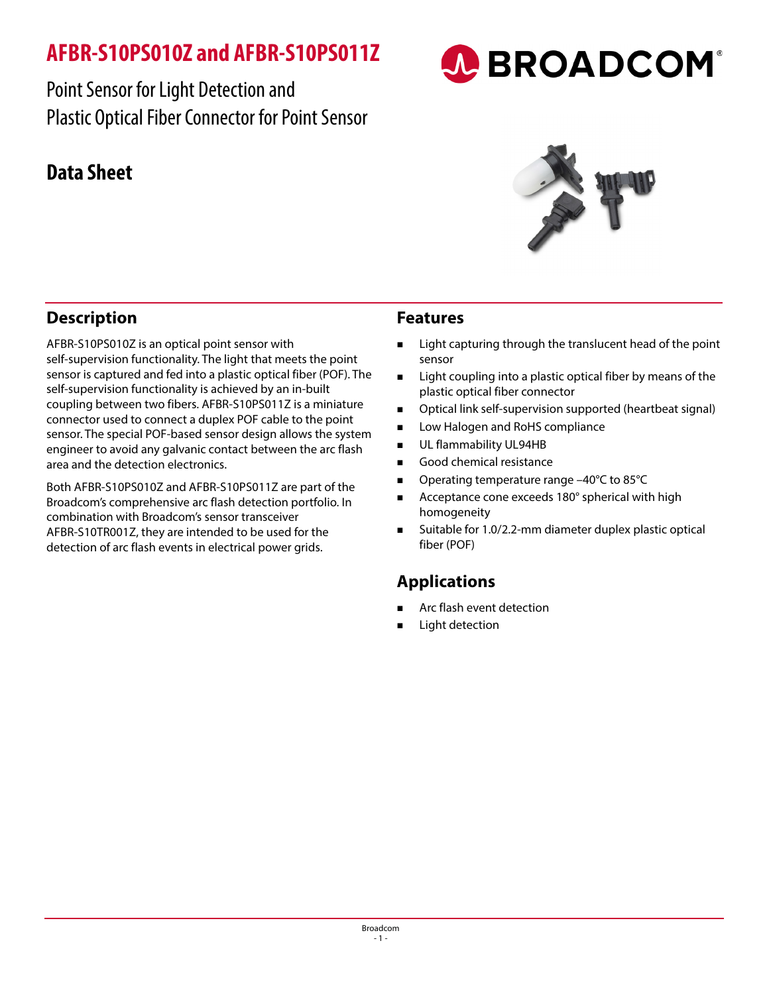# **AFBR-S10PS010Z and AFBR-S10PS011Z**

Point Sensor for Light Detection and Plastic Optical Fiber Connector for Point Sensor

## **Data Sheet**



A BROADCOM®

## **Description**

AFBR-S10PS010Z is an optical point sensor with self-supervision functionality. The light that meets the point sensor is captured and fed into a plastic optical fiber (POF). The self-supervision functionality is achieved by an in-built coupling between two fibers. AFBR-S10PS011Z is a miniature connector used to connect a duplex POF cable to the point sensor. The special POF-based sensor design allows the system engineer to avoid any galvanic contact between the arc flash area and the detection electronics.

Both AFBR-S10PS010Z and AFBR-S10PS011Z are part of the Broadcom's comprehensive arc flash detection portfolio. In combination with Broadcom's sensor transceiver AFBR-S10TR001Z, they are intended to be used for the detection of arc flash events in electrical power grids.

#### **Features**

- Light capturing through the translucent head of the point sensor
- Light coupling into a plastic optical fiber by means of the plastic optical fiber connector
- Optical link self-supervision supported (heartbeat signal)
- Low Halogen and RoHS compliance
- **UL flammability UL94HB**
- Good chemical resistance
- Operating temperature range –40°C to 85°C
- Acceptance cone exceeds 180° spherical with high homogeneity
- Suitable for 1.0/2.2-mm diameter duplex plastic optical fiber (POF)

#### **Applications**

- Arc flash event detection
- Light detection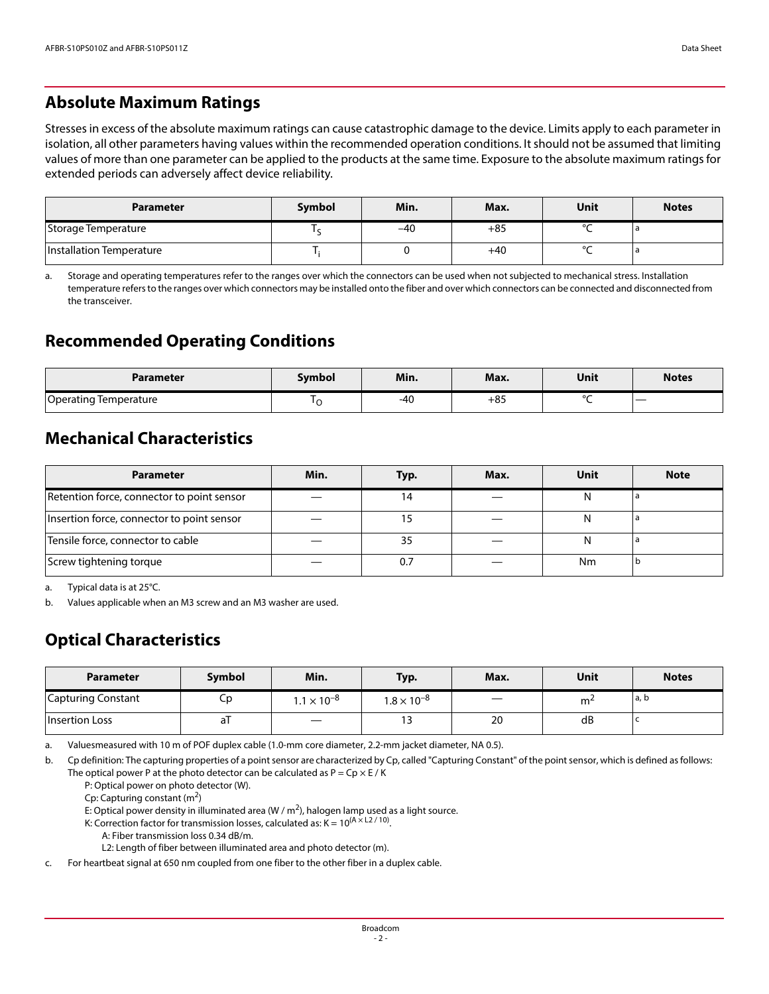#### **Absolute Maximum Ratings**

Stresses in excess of the absolute maximum ratings can cause catastrophic damage to the device. Limits apply to each parameter in isolation, all other parameters having values within the recommended operation conditions. It should not be assumed that limiting values of more than one parameter can be applied to the products at the same time. Exposure to the absolute maximum ratings for extended periods can adversely affect device reliability.

| <b>Parameter</b>         | Symbol | Min.  | Max.  | Unit   | <b>Notes</b> |
|--------------------------|--------|-------|-------|--------|--------------|
| Storage Temperature      |        | $-40$ | $+85$ | $\sim$ |              |
| Installation Temperature |        |       | $+40$ | $\sim$ |              |

<span id="page-1-0"></span>a. Storage and operating temperatures refer to the ranges over which the connectors can be used when not subjected to mechanical stress. Installation temperature refers to the ranges over which connectors may be installed onto the fiber and over which connectors can be connected and disconnected from the transceiver.

#### **Recommended Operating Conditions**

| Parameter             | Svmbol | Min. | Max.  | Unit   | <b>Notes</b> |
|-----------------------|--------|------|-------|--------|--------------|
| Operating Temperature | ╰      | -40  | $+85$ | $\sim$ |              |

#### **Mechanical Characteristics**

| <b>Parameter</b>                           | Min. | Typ. | Max. | Unit | <b>Note</b> |
|--------------------------------------------|------|------|------|------|-------------|
| Retention force, connector to point sensor |      | 14   |      |      |             |
| Insertion force, connector to point sensor |      |      |      |      |             |
| Tensile force, connector to cable          |      | 35   |      |      |             |
| Screw tightening torque                    |      | 0.7  |      | Nm   |             |

<span id="page-1-1"></span>a. Typical data is at 25°C.

b. Values applicable when an M3 screw and an M3 washer are used.

## **Optical Characteristics**

| <b>Parameter</b>          | <b>Symbol</b> | Min.                 | Typ.               | Max. | Unit | <b>Notes</b> |
|---------------------------|---------------|----------------------|--------------------|------|------|--------------|
| <b>Capturing Constant</b> | Сp            | $1.1 \times 10^{-8}$ | $1.8\times10^{-8}$ |      | m    | a, b         |
| Insertion Loss            | al            | $\hspace{0.05cm}$    | כ ו                | 20   | dB   |              |

a. Valuesmeasured with 10 m of POF duplex cable (1.0-mm core diameter, 2.2-mm jacket diameter, NA 0.5).

b. Cp definition: The capturing properties of a point sensor are characterized by Cp, called "Capturing Constant" of the point sensor, which is defined as follows: The optical power P at the photo detector can be calculated as  $P = Cp \times E / K$ 

P: Optical power on photo detector (W).

Cp: Capturing constant  $(m^2)$ 

E: Optical power density in illuminated area (W /  $m<sup>2</sup>$ ), halogen lamp used as a light source.

- K: Correction factor for transmission losses, calculated as:  $K = 10^{(A \times 12 / 10)}$ .
	- A: Fiber transmission loss 0.34 dB/m.

L2: Length of fiber between illuminated area and photo detector (m).

c. For heartbeat signal at 650 nm coupled from one fiber to the other fiber in a duplex cable.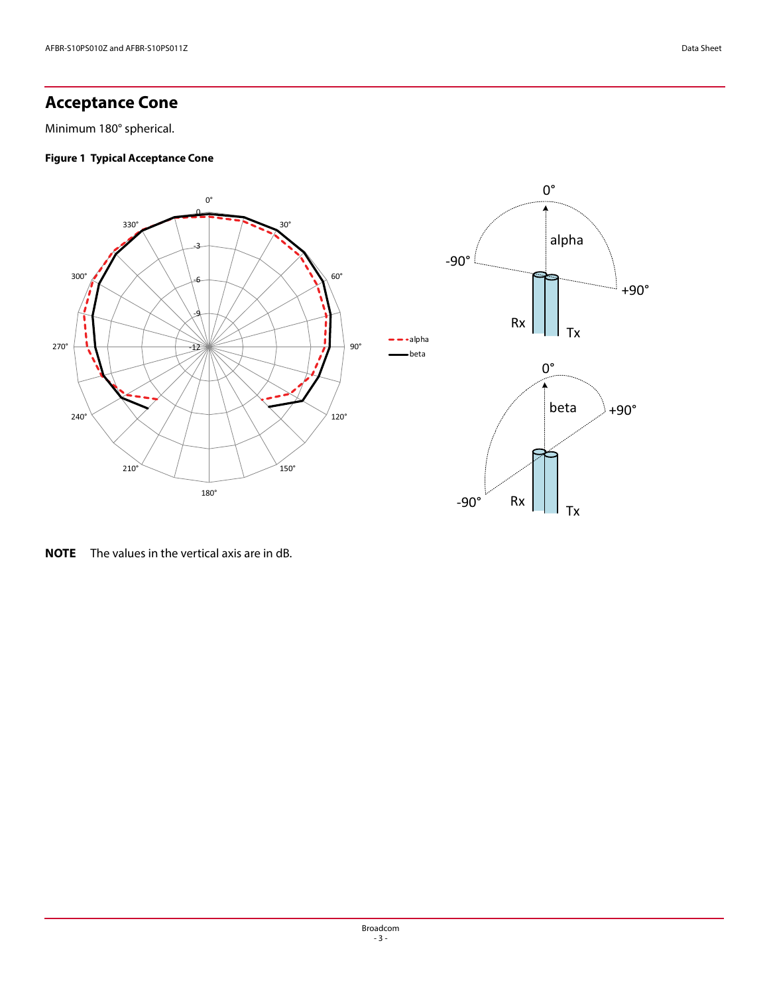#### **Acceptance Cone**

Minimum 180° spherical.

#### **Figure 1 Typical Acceptance Cone**



**NOTE** The values in the vertical axis are in dB.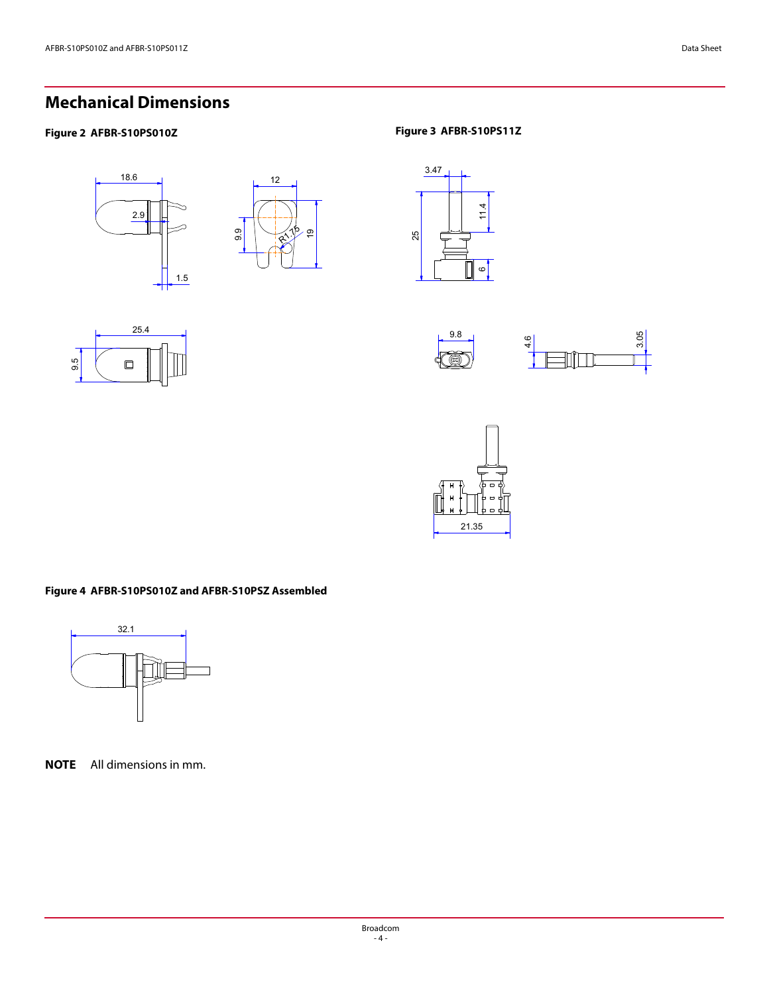## **Mechanical Dimensions**

#### **Figure 2 AFBR-S10PS010Z Figure 3 AFBR-S10PS11Z**













#### **Figure 4 AFBR-S10PS010Z and AFBR-S10PSZ Assembled**



**NOTE** All dimensions in mm.